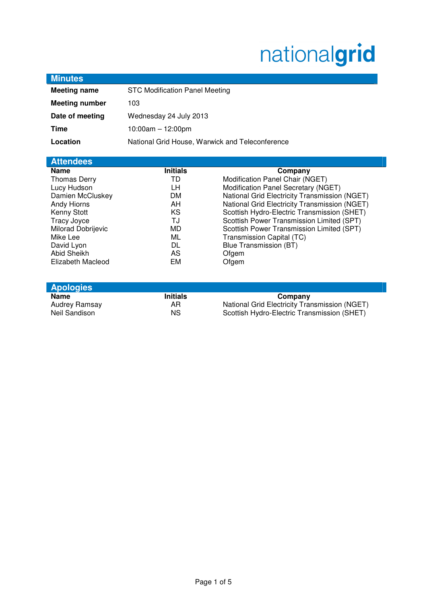# nationalgrid

| <b>Meeting name</b>              | <b>STC Modification Panel Meeting</b>           |                                               |
|----------------------------------|-------------------------------------------------|-----------------------------------------------|
| <b>Meeting number</b>            | 103                                             |                                               |
| Date of meeting                  | Wednesday 24 July 2013                          |                                               |
| <b>Time</b>                      | $10:00am - 12:00pm$                             |                                               |
| Location                         | National Grid House, Warwick and Teleconference |                                               |
|                                  |                                                 |                                               |
| <b>Attendees</b><br><b>Name</b>  | <b>Initials</b>                                 | Company                                       |
| <b>Thomas Derry</b>              | TD                                              | Modification Panel Chair (NGET)               |
| Lucy Hudson                      | LН                                              | Modification Panel Secretary (NGET)           |
| Damien McCluskey                 | DM.                                             | National Grid Electricity Transmission (NGET) |
| Andy Hiorns                      | AH.                                             | National Grid Electricity Transmission (NGET) |
| Kenny Stott                      | KS.                                             | Scottish Hydro-Electric Transmission (SHET)   |
|                                  |                                                 |                                               |
| Tracy Joyce                      | TJ                                              | Scottish Power Transmission Limited (SPT)     |
| Milorad Dobrijevic               | MD.                                             | Scottish Power Transmission Limited (SPT)     |
| Mike Lee                         | ML                                              | Transmission Capital (TC)                     |
| David Lyon                       | DL                                              | Blue Transmission (BT)                        |
| Abid Sheikh<br>Elizabeth Macleod | AS<br>EM                                        | Ofgem<br>Ofgem                                |

| <b>APPOIOTICO</b> |                                               |  |  |
|-------------------|-----------------------------------------------|--|--|
| <b>Initials</b>   | Company                                       |  |  |
| AR.               | National Grid Electricity Transmission (NGET) |  |  |
| ΝS                | Scottish Hydro-Electric Transmission (SHET)   |  |  |
|                   |                                               |  |  |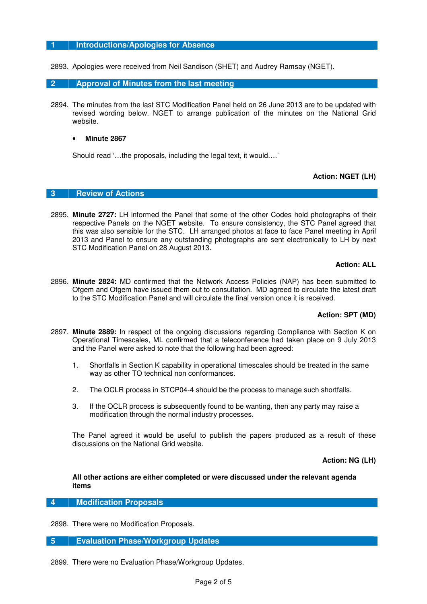## **1 Introductions/Apologies for Absence**

2893. Apologies were received from Neil Sandison (SHET) and Audrey Ramsay (NGET).

## **2 Approval of Minutes from the last meeting**

2894. The minutes from the last STC Modification Panel held on 26 June 2013 are to be updated with revised wording below. NGET to arrange publication of the minutes on the National Grid website.

## • **Minute 2867**

Should read '…the proposals, including the legal text, it would….'

# **Action: NGET (LH)**

# **3 Review of Actions**

2895. **Minute 2727:** LH informed the Panel that some of the other Codes hold photographs of their respective Panels on the NGET website. To ensure consistency, the STC Panel agreed that this was also sensible for the STC. LH arranged photos at face to face Panel meeting in April 2013 and Panel to ensure any outstanding photographs are sent electronically to LH by next STC Modification Panel on 28 August 2013.

### **Action: ALL**

2896. **Minute 2824:** MD confirmed that the Network Access Policies (NAP) has been submitted to Ofgem and Ofgem have issued them out to consultation. MD agreed to circulate the latest draft to the STC Modification Panel and will circulate the final version once it is received.

# **Action: SPT (MD)**

- 2897. **Minute 2889:** In respect of the ongoing discussions regarding Compliance with Section K on Operational Timescales, ML confirmed that a teleconference had taken place on 9 July 2013 and the Panel were asked to note that the following had been agreed:
	- 1. Shortfalls in Section K capability in operational timescales should be treated in the same way as other TO technical non conformances.
	- 2. The OCLR process in STCP04-4 should be the process to manage such shortfalls.
	- 3. If the OCLR process is subsequently found to be wanting, then any party may raise a modification through the normal industry processes.

The Panel agreed it would be useful to publish the papers produced as a result of these discussions on the National Grid website.

**Action: NG (LH)** 

**All other actions are either completed or were discussed under the relevant agenda items** 

**4 Modification Proposals** 

2898. There were no Modification Proposals.

**5 Evaluation Phase/Workgroup Updates** 

2899. There were no Evaluation Phase/Workgroup Updates.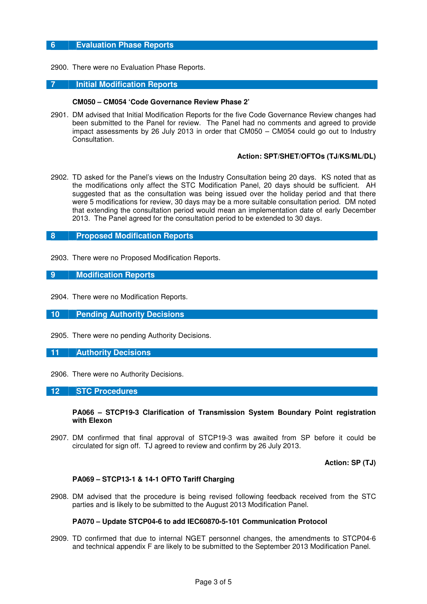# **6 Evaluation Phase Reports**

2900. There were no Evaluation Phase Reports.

## **7 Initial Modification Reports**

#### **CM050 – CM054 'Code Governance Review Phase 2'**

2901. DM advised that Initial Modification Reports for the five Code Governance Review changes had been submitted to the Panel for review. The Panel had no comments and agreed to provide impact assessments by 26 July 2013 in order that CM050 – CM054 could go out to Industry Consultation.

#### **Action: SPT/SHET/OFTOs (TJ/KS/ML/DL)**

2902. TD asked for the Panel's views on the Industry Consultation being 20 days. KS noted that as the modifications only affect the STC Modification Panel, 20 days should be sufficient. AH suggested that as the consultation was being issued over the holiday period and that there were 5 modifications for review, 30 days may be a more suitable consultation period. DM noted that extending the consultation period would mean an implementation date of early December 2013. The Panel agreed for the consultation period to be extended to 30 days.

# **8 Proposed Modification Reports**

2903. There were no Proposed Modification Reports.

## **9 Modification Reports**

2904. There were no Modification Reports.

#### **10 Pending Authority Decisions**

2905. There were no pending Authority Decisions.

#### **11 Authority Decisions**

2906. There were no Authority Decisions.

#### **12 STC Procedures**

**PA066 – STCP19-3 Clarification of Transmission System Boundary Point registration with Elexon** 

2907. DM confirmed that final approval of STCP19-3 was awaited from SP before it could be circulated for sign off. TJ agreed to review and confirm by 26 July 2013.

**Action: SP (TJ)** 

## **PA069 – STCP13-1 & 14-1 OFTO Tariff Charging**

2908. DM advised that the procedure is being revised following feedback received from the STC parties and is likely to be submitted to the August 2013 Modification Panel.

#### **PA070 – Update STCP04-6 to add IEC60870-5-101 Communication Protocol**

2909. TD confirmed that due to internal NGET personnel changes, the amendments to STCP04-6 and technical appendix F are likely to be submitted to the September 2013 Modification Panel.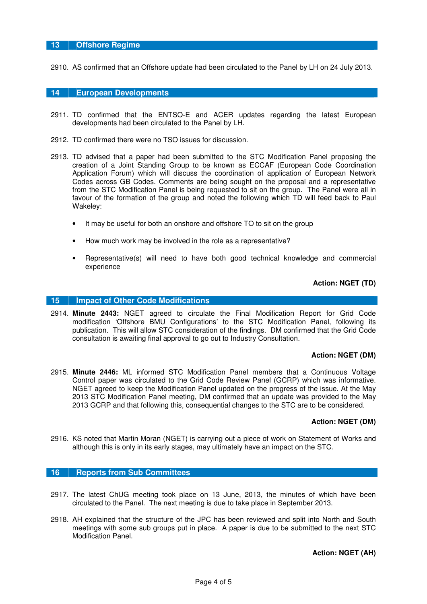# **13 Offshore Regime**

2910. AS confirmed that an Offshore update had been circulated to the Panel by LH on 24 July 2013.

## **14 European Developments**

- 2911. TD confirmed that the ENTSO-E and ACER updates regarding the latest European developments had been circulated to the Panel by LH.
- 2912. TD confirmed there were no TSO issues for discussion.
- 2913. TD advised that a paper had been submitted to the STC Modification Panel proposing the creation of a Joint Standing Group to be known as ECCAF (European Code Coordination Application Forum) which will discuss the coordination of application of European Network Codes across GB Codes. Comments are being sought on the proposal and a representative from the STC Modification Panel is being requested to sit on the group. The Panel were all in favour of the formation of the group and noted the following which TD will feed back to Paul Wakeley:
	- It may be useful for both an onshore and offshore TO to sit on the group
	- How much work may be involved in the role as a representative?
	- Representative(s) will need to have both good technical knowledge and commercial experience

## **Action: NGET (TD)**

## **15 Impact of Other Code Modifications**

2914. **Minute 2443:** NGET agreed to circulate the Final Modification Report for Grid Code modification 'Offshore BMU Configurations' to the STC Modification Panel, following its publication. This will allow STC consideration of the findings. DM confirmed that the Grid Code consultation is awaiting final approval to go out to Industry Consultation.

#### **Action: NGET (DM)**

2915. **Minute 2446:** ML informed STC Modification Panel members that a Continuous Voltage Control paper was circulated to the Grid Code Review Panel (GCRP) which was informative. NGET agreed to keep the Modification Panel updated on the progress of the issue. At the May 2013 STC Modification Panel meeting, DM confirmed that an update was provided to the May 2013 GCRP and that following this, consequential changes to the STC are to be considered.

#### **Action: NGET (DM)**

2916. KS noted that Martin Moran (NGET) is carrying out a piece of work on Statement of Works and although this is only in its early stages, may ultimately have an impact on the STC.

#### **16 Reports from Sub Committees**

- 2917. The latest ChUG meeting took place on 13 June, 2013, the minutes of which have been circulated to the Panel. The next meeting is due to take place in September 2013.
- 2918. AH explained that the structure of the JPC has been reviewed and split into North and South meetings with some sub groups put in place. A paper is due to be submitted to the next STC Modification Panel.